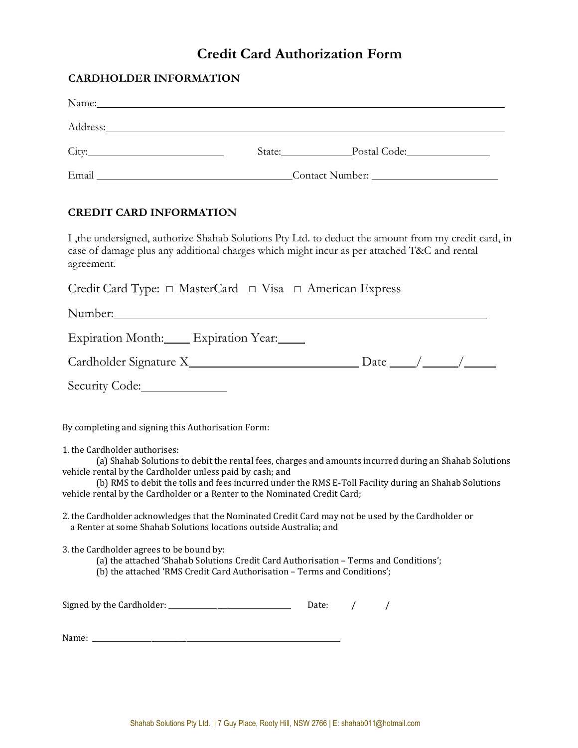# **Credit Card Authorization Form**

# **CARDHOLDER INFORMATION**

|                                                                                                                                                                          |                                       | State: Postal Code:                                                                                                                                                                                             |
|--------------------------------------------------------------------------------------------------------------------------------------------------------------------------|---------------------------------------|-----------------------------------------------------------------------------------------------------------------------------------------------------------------------------------------------------------------|
|                                                                                                                                                                          | Email Contact Number: Contact Number: |                                                                                                                                                                                                                 |
| <b>CREDIT CARD INFORMATION</b>                                                                                                                                           |                                       |                                                                                                                                                                                                                 |
| agreement.                                                                                                                                                               |                                       | I, the undersigned, authorize Shahab Solutions Pty Ltd. to deduct the amount from my credit card, in<br>case of damage plus any additional charges which might incur as per attached T&C and rental             |
| Credit Card Type: $\Box$ MasterCard $\Box$ Visa $\Box$ American Express                                                                                                  |                                       |                                                                                                                                                                                                                 |
|                                                                                                                                                                          |                                       |                                                                                                                                                                                                                 |
| Expiration Month: Expiration Year:                                                                                                                                       |                                       |                                                                                                                                                                                                                 |
|                                                                                                                                                                          |                                       |                                                                                                                                                                                                                 |
| Security Code:                                                                                                                                                           |                                       |                                                                                                                                                                                                                 |
| By completing and signing this Authorisation Form:                                                                                                                       |                                       |                                                                                                                                                                                                                 |
| 1. the Cardholder authorises:<br>vehicle rental by the Cardholder unless paid by cash; and<br>vehicle rental by the Cardholder or a Renter to the Nominated Credit Card; |                                       | (a) Shahab Solutions to debit the rental fees, charges and amounts incurred during an Shahab Solutions<br>(b) RMS to debit the tolls and fees incurred under the RMS E-Toll Facility during an Shahab Solutions |
| a Renter at some Shahab Solutions locations outside Australia; and                                                                                                       |                                       | 2. the Cardholder acknowledges that the Nominated Credit Card may not be used by the Cardholder or                                                                                                              |
| 3. the Cardholder agrees to be bound by:<br>(b) the attached 'RMS Credit Card Authorisation - Terms and Conditions';                                                     |                                       | (a) the attached 'Shahab Solutions Credit Card Authorisation - Terms and Conditions';                                                                                                                           |
| Signed by the Cardholder:                                                                                                                                                |                                       | Date:                                                                                                                                                                                                           |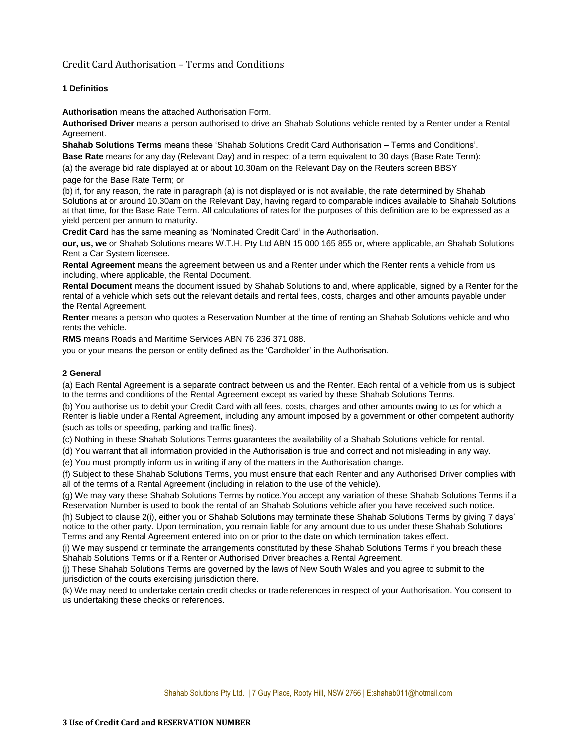# Credit Card Authorisation – Terms and Conditions

### **1 Definitios**

**Authorisation** means the attached Authorisation Form.

**Authorised Driver** means a person authorised to drive an Shahab Solutions vehicle rented by a Renter under a Rental Agreement.

**Shahab Solutions Terms** means these 'Shahab Solutions Credit Card Authorisation – Terms and Conditions'. **Base Rate** means for any day (Relevant Day) and in respect of a term equivalent to 30 days (Base Rate Term):

(a) the average bid rate displayed at or about 10.30am on the Relevant Day on the Reuters screen BBSY page for the Base Rate Term; or

(b) if, for any reason, the rate in paragraph (a) is not displayed or is not available, the rate determined by Shahab Solutions at or around 10.30am on the Relevant Day, having regard to comparable indices available to Shahab Solutions at that time, for the Base Rate Term. All calculations of rates for the purposes of this definition are to be expressed as a yield percent per annum to maturity.

**Credit Card** has the same meaning as 'Nominated Credit Card' in the Authorisation.

**our, us, we** or Shahab Solutions means W.T.H. Pty Ltd ABN 15 000 165 855 or, where applicable, an Shahab Solutions Rent a Car System licensee.

**Rental Agreement** means the agreement between us and a Renter under which the Renter rents a vehicle from us including, where applicable, the Rental Document.

**Rental Document** means the document issued by Shahab Solutions to and, where applicable, signed by a Renter for the rental of a vehicle which sets out the relevant details and rental fees, costs, charges and other amounts payable under the Rental Agreement.

**Renter** means a person who quotes a Reservation Number at the time of renting an Shahab Solutions vehicle and who rents the vehicle.

**RMS** means Roads and Maritime Services ABN 76 236 371 088.

you or your means the person or entity defined as the 'Cardholder' in the Authorisation.

#### **2 General**

(a) Each Rental Agreement is a separate contract between us and the Renter. Each rental of a vehicle from us is subject to the terms and conditions of the Rental Agreement except as varied by these Shahab Solutions Terms.

(b) You authorise us to debit your Credit Card with all fees, costs, charges and other amounts owing to us for which a Renter is liable under a Rental Agreement, including any amount imposed by a government or other competent authority (such as tolls or speeding, parking and traffic fines).

(c) Nothing in these Shahab Solutions Terms guarantees the availability of a Shahab Solutions vehicle for rental.

(d) You warrant that all information provided in the Authorisation is true and correct and not misleading in any way.

(e) You must promptly inform us in writing if any of the matters in the Authorisation change.

(f) Subject to these Shahab Solutions Terms, you must ensure that each Renter and any Authorised Driver complies with all of the terms of a Rental Agreement (including in relation to the use of the vehicle).

(g) We may vary these Shahab Solutions Terms by notice.You accept any variation of these Shahab Solutions Terms if a Reservation Number is used to book the rental of an Shahab Solutions vehicle after you have received such notice.

(h) Subject to clause 2(i), either you or Shahab Solutions may terminate these Shahab Solutions Terms by giving 7 days' notice to the other party. Upon termination, you remain liable for any amount due to us under these Shahab Solutions Terms and any Rental Agreement entered into on or prior to the date on which termination takes effect.

(i) We may suspend or terminate the arrangements constituted by these Shahab Solutions Terms if you breach these Shahab Solutions Terms or if a Renter or Authorised Driver breaches a Rental Agreement.

(j) These Shahab Solutions Terms are governed by the laws of New South Wales and you agree to submit to the jurisdiction of the courts exercising jurisdiction there.

(k) We may need to undertake certain credit checks or trade references in respect of your Authorisation. You consent to us undertaking these checks or references.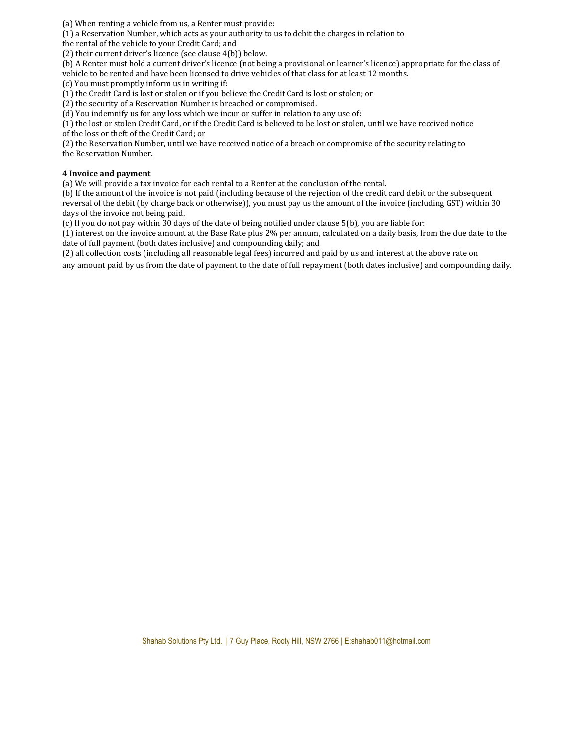(a) When renting a vehicle from us, a Renter must provide:

(1) a Reservation Number, which acts as your authority to us to debit the charges in relation to

the rental of the vehicle to your Credit Card; and

(2) their current driver's licence (see clause 4(b)) below.

(b) A Renter must hold a current driver's licence (not being a provisional or learner's licence) appropriate for the class of vehicle to be rented and have been licensed to drive vehicles of that class for at least 12 months.

(c) You must promptly inform us in writing if:

(1) the Credit Card is lost or stolen or if you believe the Credit Card is lost or stolen; or

(2) the security of a Reservation Number is breached or compromised.

(d) You indemnify us for any loss which we incur or suffer in relation to any use of:

(1) the lost or stolen Credit Card, or if the Credit Card is believed to be lost or stolen, until we have received notice of the loss or theft of the Credit Card; or

(2) the Reservation Number, until we have received notice of a breach or compromise of the security relating to the Reservation Number.

#### **4 Invoice and payment**

(a) We will provide a tax invoice for each rental to a Renter at the conclusion of the rental.

(b) If the amount of the invoice is not paid (including because of the rejection of the credit card debit or the subsequent reversal of the debit (by charge back or otherwise)), you must pay us the amount of the invoice (including GST) within 30 days of the invoice not being paid.

(c) If you do not pay within 30 days of the date of being notified under clause 5(b), you are liable for:

(1) interest on the invoice amount at the Base Rate plus 2% per annum, calculated on a daily basis, from the due date to the date of full payment (both dates inclusive) and compounding daily; and

(2) all collection costs (including all reasonable legal fees) incurred and paid by us and interest at the above rate on any amount paid by us from the date of payment to the date of full repayment (both dates inclusive) and compounding daily.